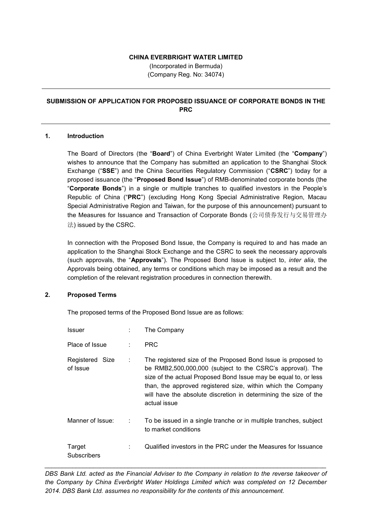#### **CHINA EVERBRIGHT WATER LIMITED**

(Incorporated in Bermuda) (Company Reg. No: 34074)

# **SUBMISSION OF APPLICATION FOR PROPOSED ISSUANCE OF CORPORATE BONDS IN THE PRC**

### **1. Introduction**

The Board of Directors (the "**Board**") of China Everbright Water Limited (the "**Company**") wishes to announce that the Company has submitted an application to the Shanghai Stock Exchange ("**SSE**") and the China Securities Regulatory Commission ("**CSRC**") today for a proposed issuance (the "**Proposed Bond Issue**") of RMB-denominated corporate bonds (the "**Corporate Bonds**") in a single or multiple tranches to qualified investors in the People's Republic of China ("**PRC**") (excluding Hong Kong Special Administrative Region, Macau Special Administrative Region and Taiwan, for the purpose of this announcement) pursuant to the Measures for Issuance and Transaction of Corporate Bonds (公司债券发行与交易管理办 法) issued by the CSRC.

In connection with the Proposed Bond Issue, the Company is required to and has made an application to the Shanghai Stock Exchange and the CSRC to seek the necessary approvals (such approvals, the "**Approvals**"). The Proposed Bond Issue is subject to, *inter alia*, the Approvals being obtained, any terms or conditions which may be imposed as a result and the completion of the relevant registration procedures in connection therewith.

### **2. Proposed Terms**

The proposed terms of the Proposed Bond Issue are as follows:

| Issuer                      |   | The Company                                                                                                                                                                                                                                                                                                                                       |
|-----------------------------|---|---------------------------------------------------------------------------------------------------------------------------------------------------------------------------------------------------------------------------------------------------------------------------------------------------------------------------------------------------|
| Place of Issue              | ٠ | <b>PRC</b>                                                                                                                                                                                                                                                                                                                                        |
| Registered Size<br>of Issue | ÷ | The registered size of the Proposed Bond Issue is proposed to<br>be RMB2,500,000,000 (subject to the CSRC's approval). The<br>size of the actual Proposed Bond Issue may be equal to, or less<br>than, the approved registered size, within which the Company<br>will have the absolute discretion in determining the size of the<br>actual issue |
| Manner of Issue:            | ÷ | To be issued in a single tranche or in multiple tranches, subject<br>to market conditions                                                                                                                                                                                                                                                         |
| Target<br>Subscribers       | ÷ | Qualified investors in the PRC under the Measures for Issuance                                                                                                                                                                                                                                                                                    |

*DBS Bank Ltd. acted as the Financial Adviser to the Company in relation to the reverse takeover of the Company by China Everbright Water Holdings Limited which was completed on 12 December 2014. DBS Bank Ltd. assumes no responsibility for the contents of this announcement.*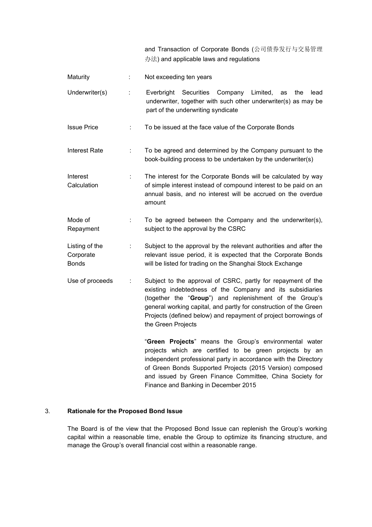|  | and Transaction of Corporate Bonds (公司债券发行与交易管理 |  |  |
|--|-------------------------------------------------|--|--|
|  | 办法) and applicable laws and regulations         |  |  |

| Maturity                                    | ÷  | Not exceeding ten years                                                                                                                                                                                                                                                                                                                            |
|---------------------------------------------|----|----------------------------------------------------------------------------------------------------------------------------------------------------------------------------------------------------------------------------------------------------------------------------------------------------------------------------------------------------|
| Underwriter(s)                              | ÷  | Everbright Securities Company Limited,<br>lead<br>the<br>as<br>underwriter, together with such other underwriter(s) as may be<br>part of the underwriting syndicate                                                                                                                                                                                |
| <b>Issue Price</b>                          | ÷  | To be issued at the face value of the Corporate Bonds                                                                                                                                                                                                                                                                                              |
| <b>Interest Rate</b>                        | ÷  | To be agreed and determined by the Company pursuant to the<br>book-building process to be undertaken by the underwriter(s)                                                                                                                                                                                                                         |
| Interest<br>Calculation                     | ÷  | The interest for the Corporate Bonds will be calculated by way<br>of simple interest instead of compound interest to be paid on an<br>annual basis, and no interest will be accrued on the overdue<br>amount                                                                                                                                       |
| Mode of<br>Repayment                        | t. | To be agreed between the Company and the underwriter(s),<br>subject to the approval by the CSRC                                                                                                                                                                                                                                                    |
| Listing of the<br>Corporate<br><b>Bonds</b> | ÷  | Subject to the approval by the relevant authorities and after the<br>relevant issue period, it is expected that the Corporate Bonds<br>will be listed for trading on the Shanghai Stock Exchange                                                                                                                                                   |
| Use of proceeds                             |    | Subject to the approval of CSRC, partly for repayment of the<br>existing indebtedness of the Company and its subsidiaries<br>(together the "Group") and replenishment of the Group's<br>general working capital, and partly for construction of the Green<br>Projects (defined below) and repayment of project borrowings of<br>the Green Projects |
|                                             |    | "Green Projects" means the Group's environmental water<br>projects which are certified to be green projects by an<br>independent professional party in accordance with the Directory<br>of Green Bonds Supported Projects (2015 Version) composed<br>and issued by Green Finance Committee, China Society for                                      |

## 3. **Rationale for the Proposed Bond Issue**

The Board is of the view that the Proposed Bond Issue can replenish the Group's working capital within a reasonable time, enable the Group to optimize its financing structure, and manage the Group's overall financial cost within a reasonable range.

Finance and Banking in December 2015